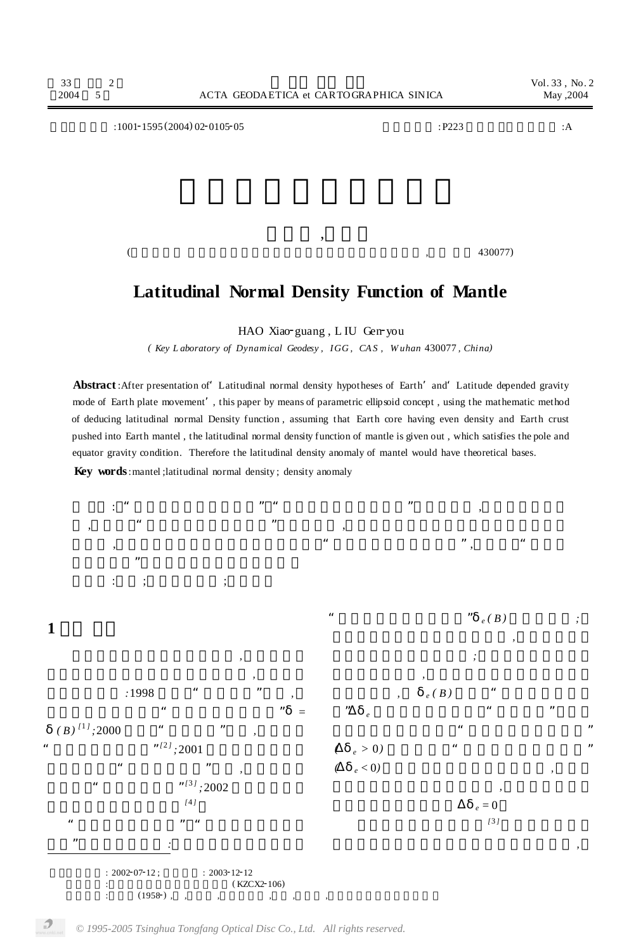**文章编号** :10012<sup>1595</sup> (2004) <sup>02</sup>201052<sup>05</sup> **中图分类号** :P223 **文献标识码** :A 郝晓光 ,刘根友

## $($

## **Latitudinal Normal Density Function of Mantle**

HAO Xiao-guang, L IU Gen-you

*( Key L aboratory of Dynamical Geodesy , IGG , CA S , W uhan* 430077 *, China)*

**Abstract**:After presentation of'Latitudinal normal density hypotheses of Earth'and'Latitude depended gravity mode of Earth plate movement', this paper by means of parametric ellipsoid concept , using the mathematic method of deducing latitudinal normal Density function , assuming that Earth core having even density and Earth crust pushed into Earth mantel , the latitudinal normal density function of mantle is given out , which satisfies the pole and equator gravity condition. Therefore the latitudinal density anomaly of mantel would have theoretical bases. **Key words**:mantel ;latitudinal normal density ; density anomaly



*<sup>© 1995-2005</sup> Tsinghua Tongfang Optical Disc Co., Ltd. All rights reserved.*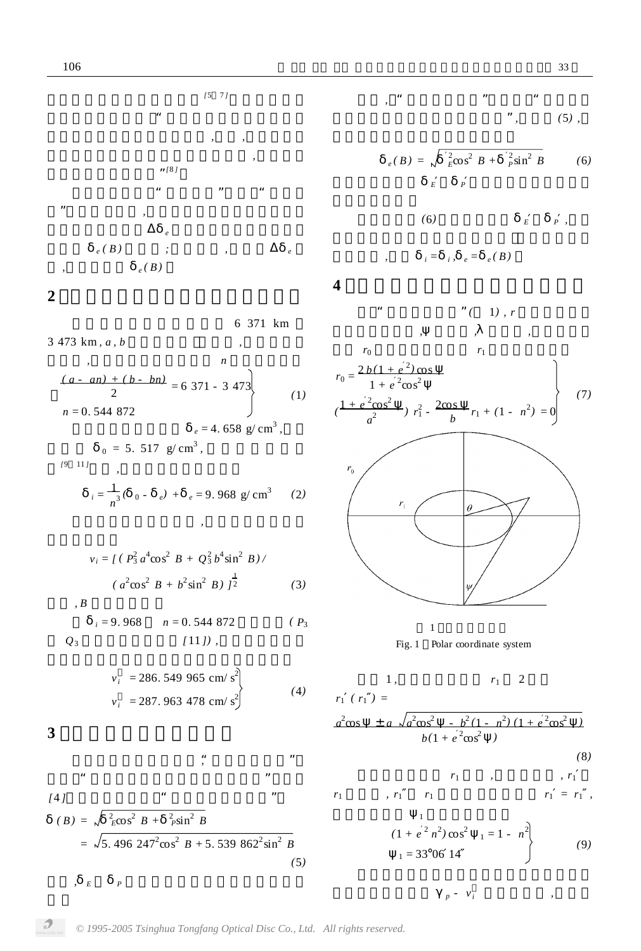

6 371 km  
\n3 473 km, *a*, *b*  
\n,  
\n,  
\n
$$
\frac{(a - an) + (b - bn)}{2} = 6 371 - 3 473
$$
\n
$$
n = 0.544 872
$$
\n
$$
e = 4.658 g/cm3,
$$
\n(1)\n(2)

$$
i = \frac{1}{n^3} (0 - e) + e = 9.968 \text{ g/cm}^3 \qquad (2)
$$

 $\lambda$ 

$$
v_i = \int (P_3^2 a^4 \cos^2 B + Q_3^2 b^4 \sin^2 B) /
$$
  

$$
(a^2 \cos^2 B + b^2 \sin^2 B) \int_2^1
$$
 (3)

$$
B_{i} = 9.968 \t n = 0.544 872 \t (P_3
$$
  
Q<sub>3</sub> (111),

$$
v_i = 286.549 965 \text{ cm/s}^2
$$
  
\n
$$
v_i = 287.963 478 \text{ cm/s}^2
$$
 (4)

$$
f_{\rm{max}}
$$

**4** 地幔极点重力纬向密度积分公式

$$
e(B) = \sqrt{\frac{2}{E} \cos^2 B + \frac{2}{P} \sin^2 B}
$$
 (6)  

$$
E = P
$$

$$
(6) \t\t\t E\t P,
$$

$$
, \qquad i = i, e = e(B)
$$

$$
\begin{array}{cccc}\n\cdots & \cdots & \cdots & \cdots \\
\vdots & \vdots & \ddots & \vdots \\
\vdots & \vdots & \ddots & \vdots \\
\vdots & \vdots & \ddots & \vdots \\
\vdots & \vdots & \vdots & \ddots \\
\vdots & \vdots & \vdots & \ddots \\
\vdots & \vdots & \vdots & \ddots \\
\vdots & \vdots & \vdots & \vdots \\
\vdots & \vdots & \vdots & \vdots \\
\vdots & \vdots & \vdots & \vdots \\
\vdots & \vdots & \vdots & \vdots \\
\vdots & \vdots & \vdots & \vdots \\
\vdots & \vdots & \vdots & \vdots \\
\vdots & \vdots & \vdots & \vdots \\
\vdots & \vdots & \vdots & \vdots \\
\vdots & \vdots & \vdots & \vdots \\
\vdots & \vdots & \vdots & \vdots \\
\vdots & \vdots & \vdots & \vdots \\
\vdots & \vdots & \vdots & \vdots \\
\vdots & \vdots & \vdots & \vdots \\
\vdots & \vdots & \vdots & \vdots \\
\vdots & \vdots & \vdots & \vdots \\
\vdots & \vdots & \vdots & \vdots \\
\vdots & \vdots & \vdots & \vdots \\
\vdots & \vdots & \vdots & \vdots \\
\vdots & \vdots & \vdots & \vdots \\
\vdots & \vdots & \vdots & \vdots \\
\vdots & \vdots & \vdots & \vdots \\
\vdots & \vdots & \vdots & \vdots \\
\vdots & \vdots & \vdots & \vdots \\
\vdots & \vdots & \vdots & \vdots \\
\vdots & \vdots & \vdots & \vdots \\
\vdots & \vdots & \vdots & \vdots \\
\vdots & \vdots & \vdots & \vdots \\
\vdots & \vdots & \vdots & \vdots \\
\vdots & \vdots & \vdots & \vdots \\
\vdots & \vdots & \vdots & \vdots \\
\vdots & \vdots & \vdots & \vdots \\
\vdots & \vdots & \vdots & \vdots \\
\vdots & \vdots & \vdots & \vdots \\
\vdots & \vdots & \vdots & \vdots \\
\vdots & \vdots & \vdots & \vdots \\
\vdots & \vdots & \vdots & \vdots \\
\vdots & \vdots & \vdots & \vdots \\
\vdots & \vdots & \vdots & \vdots \\
\vdots & \vdots & \vdots & \vdots \\
\vdots & \vdots & \vdots & \vdots \\
$$





1, 
$$
r_1
$$
 2  
 $r_1$  ( $r_1$ ) =

$$
\frac{a^2 \cos \pm a \sqrt{a^2 \cos^2 - b^2 (1 - n^2) (1 + e^2 \cos^2)}}{b(1 + e^2 \cos^2)}
$$

$$
r_1 \qquad , \qquad \qquad , r_1
$$

$$
r_1
$$
,  $r_1$   $r_1$   $r_1$   $r_1$ 

$$
(1 + e2 n2) cos2 |1 = 1 - n2 | 1 = 33°06 14
$$
 (9)

 $p - v_i$ 

**3** 地幔纬向正常密度函数 由纬向密度的定义可知"地球纬向密度"为 *,*  $\ddotsc$  , we have the contract of  $\ddotsc$ *[*4 *]*求解出整体地球的"纬向正常密度函数"为

$$
(B) = \sqrt{\frac{2}{E}\cos^2 B + \frac{2}{P}\sin^2 B}
$$
  
=  $\sqrt{5.496 \cdot 247^2 \cos^2 B + 5.539 \cdot 862^2 \sin^2 B}$  (5)

式中 *, <sup>E</sup> <sup>P</sup>* 为地球赤道与极点的纬向正常密

 $\boldsymbol{\mathcal{P}}$ 

*© 1995-2005 Tsinghua Tongfang Optical Disc Co., Ltd. All rights reserved.*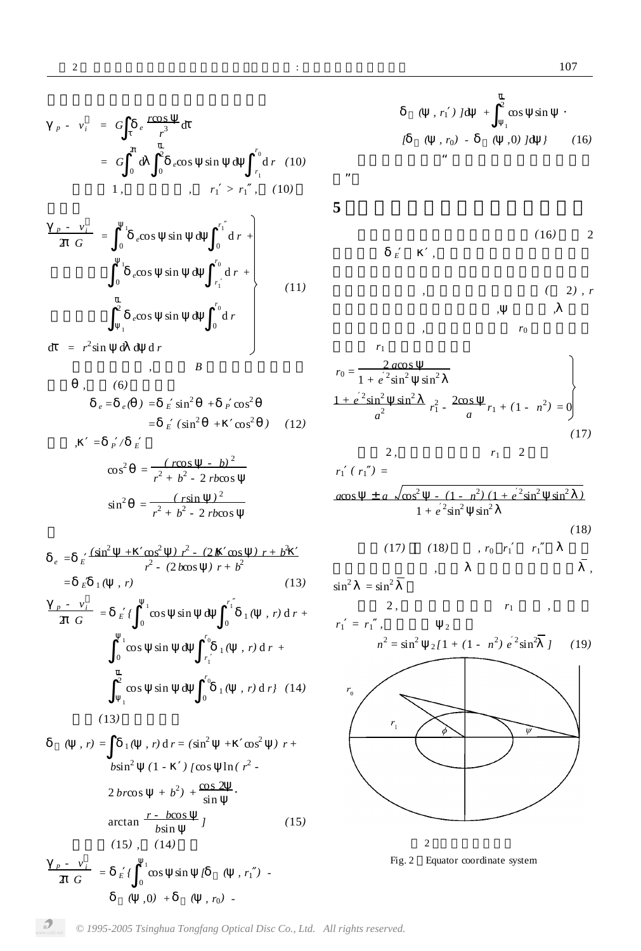*r* 0 *r* 1

 $\int_{0}^{1}$  d *r* +

*r* 0 *r* 1 d *r +*

*r* 0 0 d *r*

 $=$   $E (sin^2 + cos^2)$  (12)

*r* 1

d *r (*10*)*

*(*11*)*

$$
\frac{r}{2 \ G} = E \int_0^r \cos \sin t \, dt
$$
\n
$$
= \int_0^1 \cos \sin t \, dt
$$
\n
$$
= \int_{r_1}^{r_0} \cos t \, dt
$$
\n
$$
= \int_{r_1}^{r_0} \cos t \, dt
$$
\n
$$
= \int_{r_1}^{r_0} \cos t \, dt
$$
\n
$$
= \int_{r_1}^{r_0} \cos t \, dt
$$
\n
$$
= \int_{r_1}^{r_0} \cos t \, dt
$$
\n
$$
= \int_{r_1}^{r_0} \cos t \, dt
$$
\n
$$
= \int_{r_1}^{r_0} \cos t \, dt
$$
\n
$$
= \int_{r_1}^{r_0} \cos t \, dt
$$
\n
$$
= \int_{r_1}^{r_0} \cos t \, dt
$$
\n
$$
= \int_{r_1}^{r_0} \cos t \, dt
$$
\n
$$
= \int_{r_1}^{r_0} \cos t \, dt
$$
\n
$$
= \int_{r_1}^{r_0} \cos t \, dt
$$
\n
$$
= \int_{r_1}^{r_0} \cos t \, dt
$$
\n
$$
= \int_{r_1}^{r_0} \cos t \, dt
$$
\n
$$
= \int_{r_1}^{r_0} \cos t \, dt
$$
\n
$$
= \int_{r_1}^{r_0} \cos t \, dt
$$
\n
$$
= \int_{r_1}^{r_0} \cos t \, dt
$$
\n
$$
= \int_{r_1}^{r_0} \cos t \, dt
$$
\n
$$
= \int_{r_1}^{r_0} \cos t \, dt
$$
\n
$$
= \int_{r_1}^{r_0} \cos t \, dt
$$
\n
$$
= \int_{r_1}^{r_0} \cos t \, dt
$$
\n
$$
= \int_{r_1}^{r_0} \cos t \, dt
$$
\n
$$
= \int_{r_1}^{r_0} \cos t \, dt
$$
\n
$$
= \int_{r_1}^{r_0} \cos t \, dt
$$
\n
$$
= \int_{
$$

$$
b\sin^{2} (1 - )[\cos \ln (r^{2} - 2 b r \cos + b^{2}] + \frac{\cos 2}{\sin}.
$$
  
arctan  $\frac{r - b\cos}{b\sin}$   $1$  (15)  
(15), (14)  
 $\frac{p - v_{i}}{2 G} = E\int_{0}^{1} \cos \sin [f ( , r_{1} ) -$ 

 $( 0, 0) + ( 0, r_0) - ( 0, r_0) + ( 0, r_0) + ( 0, r_0) + ( 0, r_0) + ( 0, r_0) + ( 0, r_0) + ( 0, r_0) + ( 0, r_0) + ( 0, r_0) + ( 0, r_0) + ( 0, r_0) + ( 0, r_0) + ( 0, r_0) + ( 0, r_0) + ( 0, r_0) + ( 0, r_0) + ( 0, r_0) + ( 0, r_0) + ( 0, r_0) + ( 0, r_0) + ( 0, r_0) + ( 0, r_0) + ( 0, r$ 

*( , r*<sup>1</sup> *) ]*d *+* 2 1 cos sin · *[ ( , r*<sup>0</sup> *) - ( ,*0*) ]*d *} (*16*)* 以上就是地幔的"极点重力纬向密度积分公

**5** 地幔赤道重力纬向密度积分公式

式"。

$$
E \qquad , \qquad (16) \qquad 2
$$

$$
\begin{array}{cccc}\n, & & & & (2), r \\
, & & & & \\
, & & & & \\
, & & & & r_0\n\end{array}
$$

$$
r_{0} = \frac{2 a \cos \theta}{1 + e^{2} \sin^{2} \theta} \sin^{2} \theta
$$
  

$$
\frac{1 + e^{2} \sin^{2} \theta}{a^{2}} \sin^{2} \theta
$$
  

$$
r_{1}^{2} - \frac{2 \cos \theta}{a} r_{1} + (1 - n^{2}) = 0
$$
  
(17)

2, 
$$
r_1
$$
 2  
\n $r_1$  ( $r_1$ ) =  
\n $a\cos \pm a \sqrt{\cos^2 \frac{(-1 - n^2)(1 + e^2 \sin^2 \sin^2)}{1 + e^2 \sin^2 \sin^2}}$ 

化仅产生微小变化 *,*故取 为其变化值的中数 *,*

(18) 
$$
(17) \qquad (18) \qquad r_0 \qquad r_1 \qquad r_1
$$

$$
\sin^2 = \sin^2
$$

$$
r_1 = r_1 , \qquad \qquad 2
$$

$$
n^{2} = \sin^{2} \frac{2(1 + (1 - n^{2}) e^{2} \sin^{2} t)}{(19)}
$$





*<sup>p</sup> - v<sup>i</sup>*  $\frac{1}{2}$  <del>G</del> =  $\frac{1}{0}$ 

1

2

1

 $d = r^2 \sin d d d r$ 

余角 *,*则式*(*6*)* 可近似为

 $, = p / E$ 

*<sup>p</sup> - v<sup>i</sup>*

 $\frac{\partial}{\partial} \frac{\partial}{\partial G} = E \begin{pmatrix} 1 \\ 0 \end{pmatrix}$ 

 $p \cdot v_i = G \cdot e^{\frac{r \cos x}{3}}$ 

*= G* 2  $\begin{pmatrix} 2 \\ 0 \end{pmatrix}$ 

 $\int_{r^3}$  d

 $\int_{0}^{\pi} e^{\cos} \sin \theta$ 

1,  $r_1 > r_1$ , (10)

 $\int_{0}^{1} e \cos \theta \sin \theta \frac{r_1}{r_0}$ 

 $e^{\cos \sin \theta}$ 

 $, \qquad B$ 

*<sup>e</sup>*cos sin d

 $e = e$  ( ) =  $E \sin^2 + P \cos^2$ 

 $\cos^2 = \frac{(r \cos - b)^2}{2 + b^2}$ 

 $\sin^2 = \frac{(r \sin)^2}{(r^2 - r^2)^2}$ 

 $e = E \frac{(\sin^2 \theta + \cos^2 \theta) r^2 - (2b \cos \theta) r + b^2}{r^2}$ 

 $r^2 + b^2 - 2$  *rbcos* 

 $r^2 + b^2 - 2$  *rbcos* 

 $r^2$  -  $(2 \, b \cos \theta) \, r + b^2$  $=$   $E_{1}($ , *r*) (13)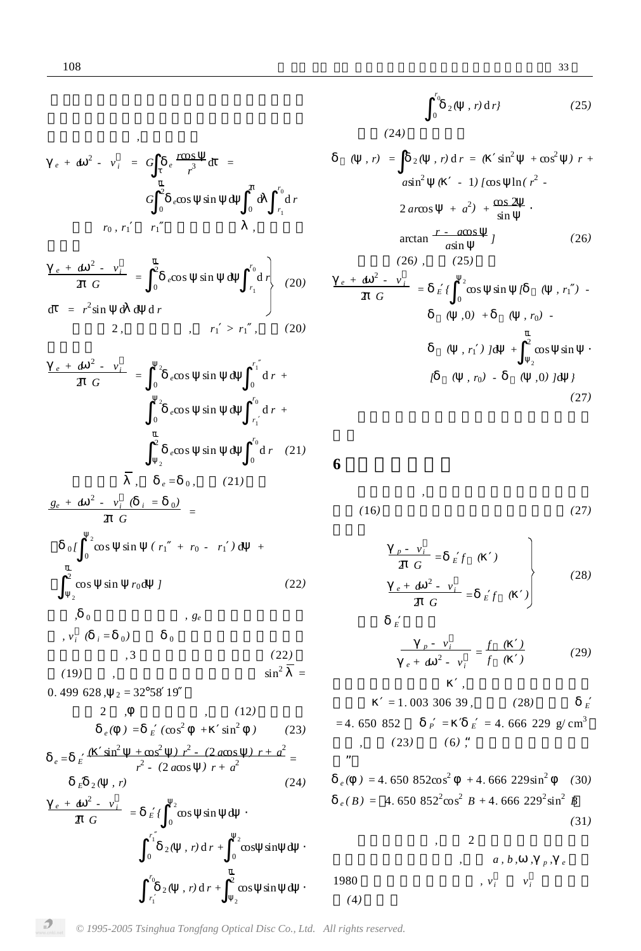*<sup>e</sup> + a*

$$
e + a^{2} - v_{i} = G e \frac{r \cos t}{r^{3}} d =
$$
  

$$
G \int_{0}^{2} e \cos \sin t d \int_{0}^{2} d r
$$
  

$$
r_{0}, r_{1} = r_{1} ,
$$

$$
\frac{e + a^{2} - v_{i}}{2 G} = \begin{bmatrix} \frac{1}{2} & \cos \sin \theta & \cos \theta \\ 0 & e \cos \theta & \sin \theta \end{bmatrix}^{r_{0}} \begin{bmatrix} r_{0} \\ r_{1} \\ r_{2} \end{bmatrix}
$$
 (20)  
and  $r_{1} \geq r_{1}$ , (20)

$$
\frac{e + a^{2} - v_{i}}{2 G} = \int_{0}^{2} e \cos \sin t dt + \int_{0}^{r_{1}} dr + \int_{0}^{2} e \cos \sin t dt + \int_{r_{1}}^{r_{0}} dr + \frac{1}{2} \int_{0}^{2} e \cos \sin t dt + \int_{0}^{r_{0}} dr \tag{21}
$$

$$
\frac{g_e + a^2 - v_i (i = 0)}{2 G} =
$$
  
\n
$$
0 \int_0^2 \cos \sin (r_1 + r_0 - r_1) d +
$$
  
\n
$$
\frac{1}{2} \cos \sin r_0 d J
$$
 (22)  
\n
$$
0 \qquad 0 \qquad , g_e
$$

$$
v_i \t(i = 0) \t 0
$$
  

$$
v_i \t(i = 0) \t (22)
$$
  

$$
sin^2 = 1
$$

$$
0.499\ 628\,,\quad_2=32\,93\,19
$$

2 , (12)  
\n
$$
e = E \frac{sin^2 + cos^2 + sin^2 \theta}{r^2 - (2a\cos \theta) r + a^2} =
$$
\n
$$
E = 2 \left( r^2 \right)
$$
\n
$$
e = E \frac{sin^2 + cos^2 \theta}{r^2 - (2a\cos \theta) r + a^2} =
$$
\n
$$
E = 2 \left( r^2 \right)
$$
\n
$$
e + a^2 - v_i = E \left( \frac{2}{0} \cos \sin \theta \right)
$$
\n
$$
v_0 = 2 \left( r^2 \right)
$$
\n
$$
v_0 = 2 \left( r^2 \right)
$$
\n
$$
v_0 = 2 \left( r^2 \right)
$$
\n
$$
v_0 = 2 \left( r^2 \right)
$$
\n
$$
v_0 = 2 \left( r^2 \right)
$$
\n
$$
v_0 = 2 \left( r^2 \right)
$$
\n
$$
v_0 = 2 \left( r^2 \right)
$$
\n
$$
v_0 = 2 \left( r^2 \right)
$$
\n
$$
v_0 = 2 \left( r^2 \right)
$$
\n
$$
v_0 = 2 \left( r^2 \right)
$$
\n
$$
v_0 = 2 \left( r^2 \right)
$$
\n
$$
v_0 = 2 \left( r^2 \right)
$$
\n
$$
v_0 = 2 \left( r^2 \right)
$$
\n
$$
v_0 = 2 \left( r^2 \right)
$$
\n
$$
v_0 = 2 \left( r^2 \right)
$$
\n
$$
v_0 = 2 \left( r^2 \right)
$$
\n
$$
v_0 = 2 \left( r^2 \right)
$$
\n
$$
v_0 = 2 \left( r^2 \right)
$$
\n
$$
v_0 = 2 \left( r^2 \right)
$$
\n
$$
v_0 = 2 \left( r^2 \right)
$$
\n
$$
v_0 = 2 \left( r^2 \right)
$$
\n
$$
v_0 = 2 \left( r^2 \right)
$$
\n
$$
v_0 = 2 \left( r^2 \right)
$$
\n
$$
v_0 = 2 \left( r^2 \right)
$$
\n<math display="</p>

*r* 1

$$
\int_{0}^{r_0} 2(-, r) \, dr \tag{25}
$$

 $(24)$ 

$$
(r, r) = \frac{1}{2} (r, r) dr = (r, r) dr = (r, r) dr = (r, r) dr = (r, r) dr = (r, r) dr = (r, r) dr = (r, r) dr = (r, r) dr = (r, r) dr = (r, r) dr = (r, r) dr = (r, r) dr = (r, r) dr = (r, r) dr = (r, r) dr = (r, r) dr = (r, r) dr = (r, r) dr = (r, r) dr = (r, r) dr = (r, r) dr = (r, r) dr = (r, r) dr = (r, r) dr = (r, r) dr = (r, r) dr = (r, r) dr = (r, r) dr = (r, r) dr = (r, r) dr = (r, r) dr = (r, r) dr = (r, r) dr = (r, r) dr = (r, r) dr = (r, r) dr = (r, r) dr = (r, r) dr = (r, r) dr = (r, r) dr = (r, r) dr = (r, r) dr = (r, r) dr = (r, r) dr = (r, r) dr = (r, r) dr = (r, r) dr = (r, r) dr = (r, r) dr = (r, r) dr = (r, r) dr = (r, r) dr = (r, r) dr = (r, r) dr = (r, r) dr = (r, r) dr = (r, r) dr = (r, r) dr = (r, r) dr = (r, r) dr = (r, r) dr = (r, r) dr = (r, r) dr = (r, r) dr = (r, r) dr = (r, r) dr = (r, r) dr = (r, r) dr = (r, r) dr = (r, r) dr = (r, r) dr = (r, r) dr = (r, r) dr = (r, r) dr = (r, r) dr = (r, r) dr = (r, r) dr = (r, r) dr = (r, r) dr = (r, r) dr = (r, r) dr = (r, r) dr = (r, r) dr = (r, r) dr = (r, r) dr = (r, r) dr = (r, r) dr = (r, r) dr = (r, r) dr = (r, r) dr = (r, r) dr = (r, r) dr = (r, r) dr = (r, r) dr = (r, r) dr = (r, r) dr = (r, r) dr = (r, r) dr = (r, r) dr = (r, r) dr = (r, r) dr = (r, r) dr = (r, r) dr = (r, r) dr = (r, r) dr = (r, r)
$$

**6 6** 

 $\overline{a}$ 

 $\boldsymbol{E}$ 

*(*4*)* 给出。

$$
(16)\t\t(27)
$$

$$
\begin{array}{c|cc}\n\frac{p - v_i}{2 G} = & E f & (\quad) \\
\frac{e + a^2 - v_i}{2 G} = & E f & (\quad)\n\end{array}
$$
\n(28)

$$
\frac{p - v_i}{e + a^2 - v_i} = \frac{f}{f} \left( \frac{1}{e + a^2} \right) \tag{29}
$$

$$
= 1.003 \ 306 \ 39, \qquad (28)
$$
\n
$$
= 4.650 \ 852 \qquad P = E = 4.666 \ 229 \ \text{g/cm}^3
$$
\n
$$
\frac{1 \cdot P + a^2}{2} = \qquad \text{m}
$$
\n
$$
= 4.650 \ 852 \cos^2 \theta + 4.666 \ 229 \sin^2 \theta
$$
\n
$$
= 4.650 \ 852 \cos^2 \theta + 4.666 \ 229 \sin^2 \theta
$$
\n
$$
= 4.650 \ 852^2 \cos^2 \theta + 4.666 \ 229^2 \sin^2 \theta
$$
\n
$$
= 4.650 \ 852^2 \cos^2 \theta + 4.666 \ 229^2 \sin^2 \theta
$$
\n
$$
= 4.650 \ 852^2 \cos^2 \theta + 4.666 \ 229^2 \sin^2 \theta
$$
\n
$$
= 4.650 \ 852^2 \cos^2 \theta + 4.666 \ 229^2 \sin^2 \theta
$$
\n
$$
= 4.650 \ 852^2 \cos^2 \theta + 4.666 \ 229^2 \sin^2 \theta
$$
\n
$$
= 4.650 \ 852^2 \cos^2 \theta + 4.666 \ 229^2 \sin^2 \theta
$$
\n
$$
= 4.650 \ 852 \cos^2 \theta + 4.666 \ 229^2 \sin^2 \theta
$$
\n
$$
= 4.650 \ 852 \cos^2 \theta + 4.666 \ 229^2 \sin^2 \theta
$$
\n
$$
= 4.650 \ 852^2 \cos^2 \theta + 4.666 \ 229^2 \sin^2 \theta
$$
\n
$$
= 4.650 \ 852^2 \cos^2 \theta + 4.666 \ 229^2 \sin^2 \theta
$$
\n
$$
= 4.650 \ 852^2 \cos^2 \theta + 4.666 \ 229^2 \sin^2 \theta
$$
\n
$$
= 4.650 \
$$

式中只有一个未知数 *,*故可采用数值积分方法

*© 1995-2005 Tsinghua Tongfang Optical Disc Co., Ltd. All rights reserved.*

2